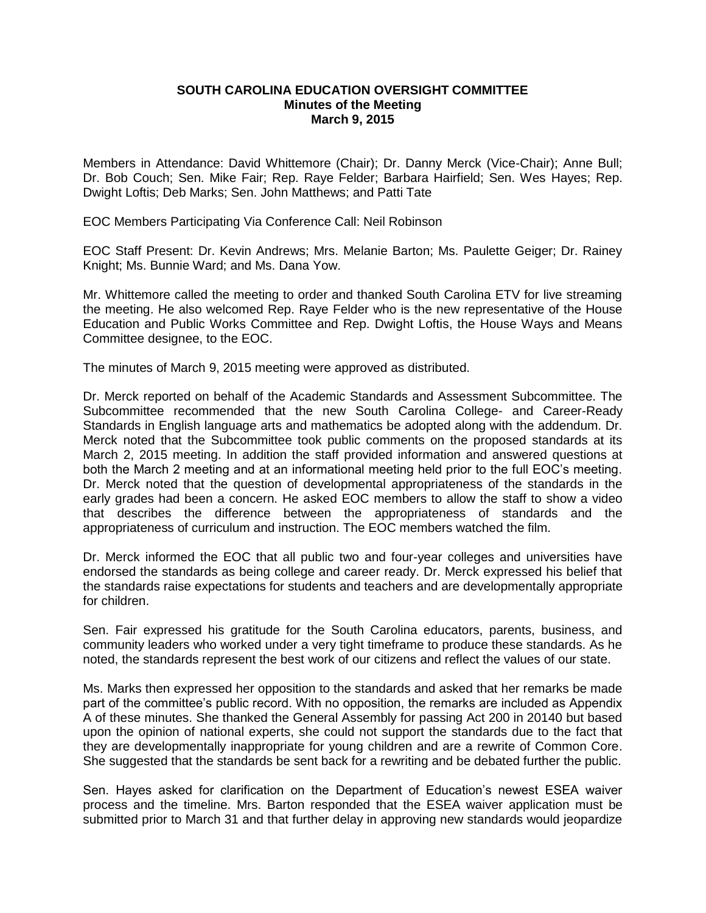## **SOUTH CAROLINA EDUCATION OVERSIGHT COMMITTEE Minutes of the Meeting March 9, 2015**

Members in Attendance: David Whittemore (Chair); Dr. Danny Merck (Vice-Chair); Anne Bull; Dr. Bob Couch; Sen. Mike Fair; Rep. Raye Felder; Barbara Hairfield; Sen. Wes Hayes; Rep. Dwight Loftis; Deb Marks; Sen. John Matthews; and Patti Tate

EOC Members Participating Via Conference Call: Neil Robinson

EOC Staff Present: Dr. Kevin Andrews; Mrs. Melanie Barton; Ms. Paulette Geiger; Dr. Rainey Knight; Ms. Bunnie Ward; and Ms. Dana Yow.

Mr. Whittemore called the meeting to order and thanked South Carolina ETV for live streaming the meeting. He also welcomed Rep. Raye Felder who is the new representative of the House Education and Public Works Committee and Rep. Dwight Loftis, the House Ways and Means Committee designee, to the EOC.

The minutes of March 9, 2015 meeting were approved as distributed.

Dr. Merck reported on behalf of the Academic Standards and Assessment Subcommittee. The Subcommittee recommended that the new South Carolina College- and Career-Ready Standards in English language arts and mathematics be adopted along with the addendum. Dr. Merck noted that the Subcommittee took public comments on the proposed standards at its March 2, 2015 meeting. In addition the staff provided information and answered questions at both the March 2 meeting and at an informational meeting held prior to the full EOC's meeting. Dr. Merck noted that the question of developmental appropriateness of the standards in the early grades had been a concern. He asked EOC members to allow the staff to show a video that describes the difference between the appropriateness of standards and the appropriateness of curriculum and instruction. The EOC members watched the film.

Dr. Merck informed the EOC that all public two and four-year colleges and universities have endorsed the standards as being college and career ready. Dr. Merck expressed his belief that the standards raise expectations for students and teachers and are developmentally appropriate for children.

Sen. Fair expressed his gratitude for the South Carolina educators, parents, business, and community leaders who worked under a very tight timeframe to produce these standards. As he noted, the standards represent the best work of our citizens and reflect the values of our state.

Ms. Marks then expressed her opposition to the standards and asked that her remarks be made part of the committee's public record. With no opposition, the remarks are included as Appendix A of these minutes. She thanked the General Assembly for passing Act 200 in 20140 but based upon the opinion of national experts, she could not support the standards due to the fact that they are developmentally inappropriate for young children and are a rewrite of Common Core. She suggested that the standards be sent back for a rewriting and be debated further the public.

Sen. Hayes asked for clarification on the Department of Education's newest ESEA waiver process and the timeline. Mrs. Barton responded that the ESEA waiver application must be submitted prior to March 31 and that further delay in approving new standards would jeopardize